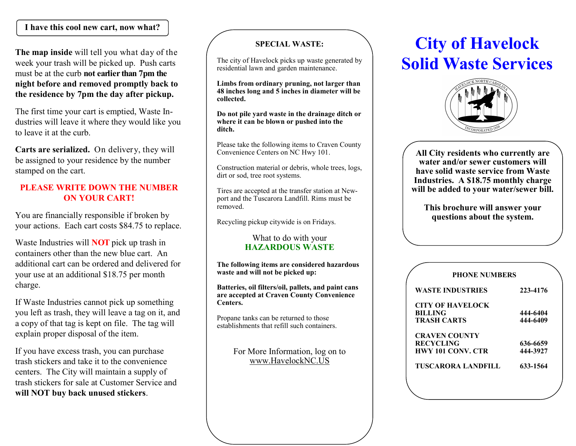## **I have this cool new cart, now what?**

**The map inside** will tell you what day of the week your trash will be picked up. Push carts must be at the curb **not earlier than 7pm the night before and removed promptly back to the residence by 7pm the day after pickup.**

The first time your cart is emptied, Waste Industries will leave it where they would like you to leave it at the curb.

**Carts are serialized.** On delivery, they will be assigned to your residence by the number stamped on the cart.

### **PLEASE WRITE DOWN THE NUMBER ON YOUR CART!**

You are financially responsible if broken by your actions. Each cart costs \$84.75 to replace.

Waste Industries will **NOT** pick up trash in containers other than the new blue cart. An additional cart can be ordered and delivered for your use at an additional \$18.75 per month charge.

If Waste Industries cannot pick up something you left as trash, they will leave a tag on it, and a copy of that tag is kept on file. The tag will explain proper disposal of the item.

If you have excess trash, you can purchase trash stickers and take it to the convenience centers. The City will maintain a supply of trash stickers for sale at Customer Service and **will NOT buy back unused stickers**.

#### **SPECIAL WASTE:**

The city of Havelock picks up waste generated by residential lawn and garden maintenance.

**Limbs from ordinary pruning, not larger than 48 inches long and 5 inches in diameter will be collected.**

**Do not pile yard waste in the drainage ditch or where it can be blown or pushed into the ditch.**

Please take the following items to Craven County Convenience Centers on NC Hwy 101.

Construction material or debris, whole trees, logs, dirt or sod, tree root systems.

Tires are accepted at the transfer station at Newport and the Tuscarora Landfill. Rims must be removed.

Recycling pickup citywide is on Fridays.

#### What to do with your **HAZARDOUS WASTE**

**The following items are considered hazardous waste and will not be picked up:**

**Batteries, oil filters/oil, pallets, and paint cans are accepted at Craven County Convenience Centers.**

Propane tanks can be returned to those establishments that refill such containers.

> For More Information, log on to www.HavelockNC.US

# **City of Havelock Solid Waste Services**



**All City residents who currently are water and/or sewer customers will have solid waste service from Waste Industries. A \$18.75 monthly charge will be added to your water/sewer bill.**

**This brochure will answer your questions about the system.**

| <b>PHONE NUMBERS</b>     |          |
|--------------------------|----------|
| <b>WASTE INDUSTRIES</b>  | 223-4176 |
| <b>CITY OF HAVELOCK</b>  |          |
| <b>BILLING</b>           | 444-6404 |
| <b>TRASH CARTS</b>       | 444-6409 |
| <b>CRAVEN COUNTY</b>     |          |
| <b>RECYCLING</b>         | 636-6659 |
| <b>HWY 101 CONV. CTR</b> | 444-3927 |
| TUSCARORA LANDFILL       | 633-1564 |